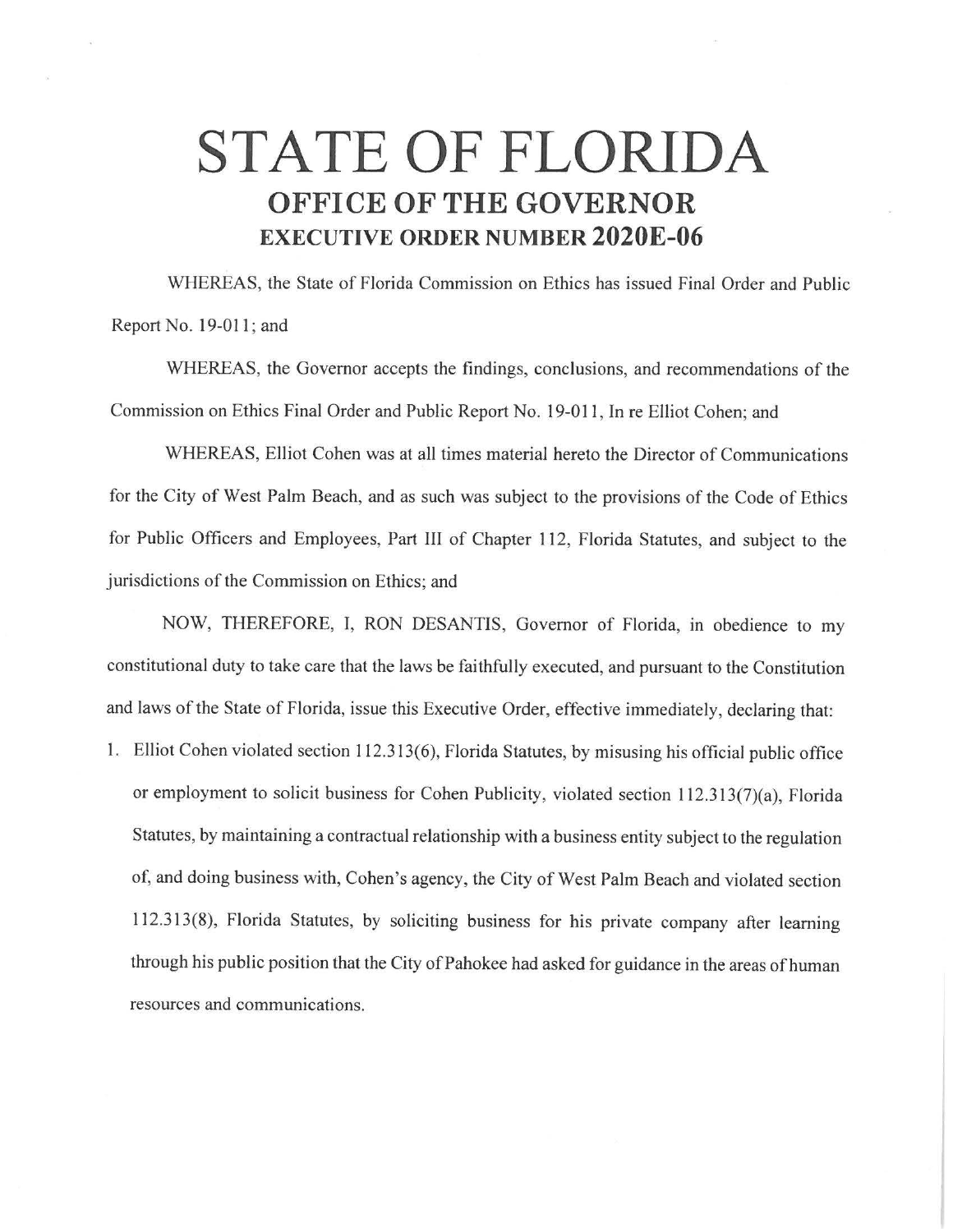## **STATE OF FLORIDA OFFICE OF THE GOVERNOR EXECUTIVE ORDER NUMBER 2020E-06**

WHEREAS, the State of Florida Commission on Ethics has issued Final Order and Public Report No. 19-011 ; and

WHEREAS, the Governor accepts the findings, conclusions, and recommendations of the Commission on Ethics Final Order and Public Report No. 19-011 , In re Elliot Cohen; and

WHEREAS, Elliot Cohen was at all times material hereto the Director of Communications for the City of West Palm Beach, and as such was subject to the provisions of the Code of Ethics for Public Officers and Employees, Part III of Chapter 112, Florida Statutes, and subject to the jurisdictions of the Commission on Ethics; and

NOW, THEREFORE, I, RON DESANTIS, Governor of Florida, in obedience to my constitutional duty to take care that the laws be faithfully executed, and pursuant to the Constitution and laws of the State of Florida, issue this Executive Order, effective immediately, declaring that:

1. Elliot Cohen violated section 112.313(6), Florida Statutes, by misusing his official public office or employment to solicit business for Cohen Publicity, violated section 112.313(7)(a), Florida Statutes, by maintaining a contractual relationship with a business entity subject to the regulation of, and doing business with, Cohen's agency, the City of West Palm Beach and violated section 112.313(8), Florida Statutes, by soliciting business for his private company after learning through his public position that the City of Pahokee had asked for guidance in the areas of human resources and communications.